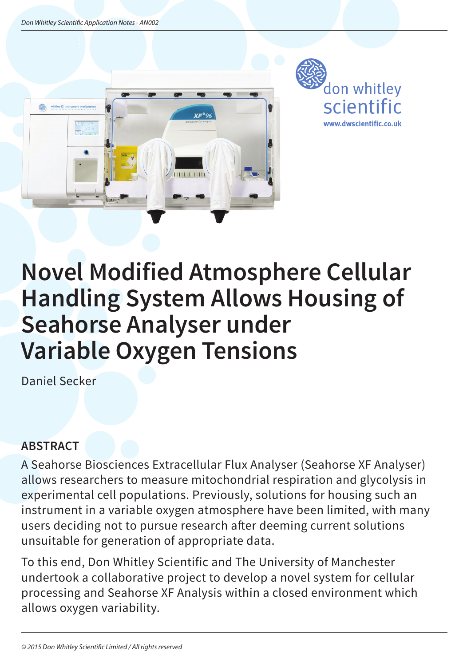



# **Novel Modified Atmosphere Cellular Handling System Allows Housing of Seahorse Analyser under Variable Oxygen Tensions**

Daniel Secker

## **ABSTRACT**

A Seahorse Biosciences Extracellular Flux Analyser (Seahorse XF Analyser) allows researchers to measure mitochondrial respiration and glycolysis in experimental cell populations. Previously, solutions for housing such an instrument in a variable oxygen atmosphere have been limited, with many users deciding not to pursue research after deeming current solutions unsuitable for generation of appropriate data.

To this end, Don Whitley Scientific and The University of Manchester undertook a collaborative project to develop a novel system for cellular processing and Seahorse XF Analysis within a closed environment which allows oxygen variability.